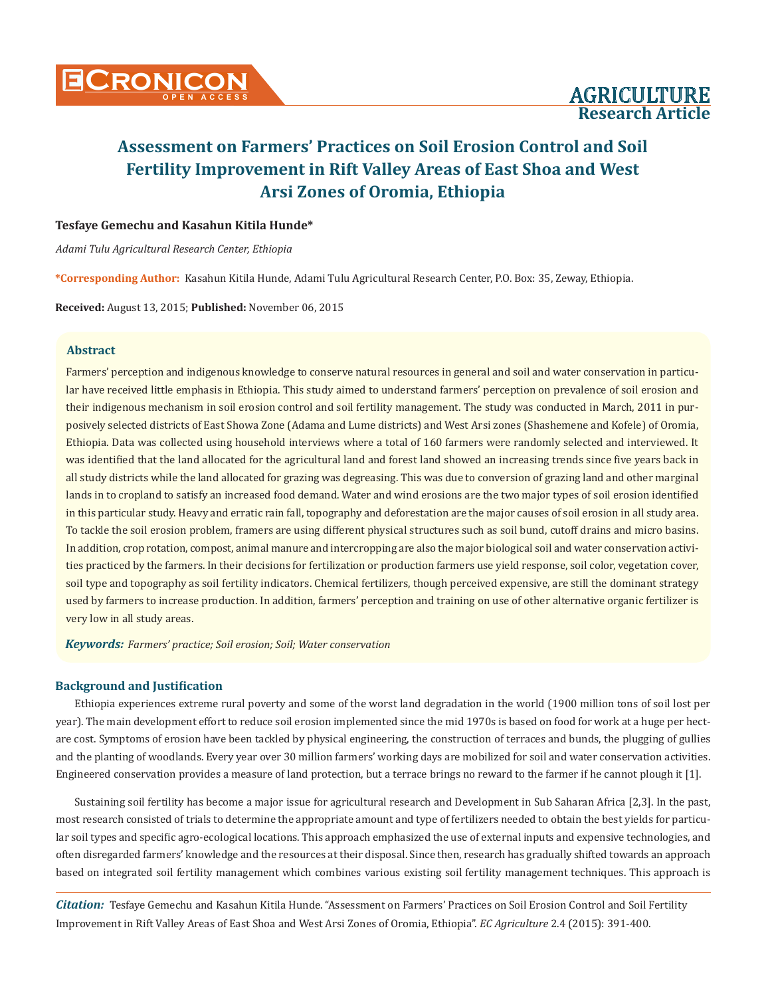

### **Tesfaye Gemechu and Kasahun Kitila Hunde\***

*Adami Tulu Agricultural Research Center, Ethiopia*

**\*Corresponding Author:** Kasahun Kitila Hunde, Adami Tulu Agricultural Research Center, P.O. Box: 35, Zeway, Ethiopia.

**Received:** August 13, 2015; **Published:** November 06, 2015

# **Abstract**

Farmers' perception and indigenous knowledge to conserve natural resources in general and soil and water conservation in particular have received little emphasis in Ethiopia. This study aimed to understand farmers' perception on prevalence of soil erosion and their indigenous mechanism in soil erosion control and soil fertility management. The study was conducted in March, 2011 in purposively selected districts of East Showa Zone (Adama and Lume districts) and West Arsi zones (Shashemene and Kofele) of Oromia, Ethiopia. Data was collected using household interviews where a total of 160 farmers were randomly selected and interviewed. It was identified that the land allocated for the agricultural land and forest land showed an increasing trends since five years back in all study districts while the land allocated for grazing was degreasing. This was due to conversion of grazing land and other marginal lands in to cropland to satisfy an increased food demand. Water and wind erosions are the two major types of soil erosion identified in this particular study. Heavy and erratic rain fall, topography and deforestation are the major causes of soil erosion in all study area. To tackle the soil erosion problem, framers are using different physical structures such as soil bund, cutoff drains and micro basins. In addition, crop rotation, compost, animal manure and intercropping are also the major biological soil and water conservation activities practiced by the farmers. In their decisions for fertilization or production farmers use yield response, soil color, vegetation cover, soil type and topography as soil fertility indicators. Chemical fertilizers, though perceived expensive, are still the dominant strategy used by farmers to increase production. In addition, farmers' perception and training on use of other alternative organic fertilizer is very low in all study areas.

*Keywords: Farmers' practice; Soil erosion; Soil; Water conservation*

### **Background and Justification**

Ethiopia experiences extreme rural poverty and some of the worst land degradation in the world (1900 million tons of soil lost per year). The main development effort to reduce soil erosion implemented since the mid 1970s is based on food for work at a huge per hectare cost. Symptoms of erosion have been tackled by physical engineering, the construction of terraces and bunds, the plugging of gullies and the planting of woodlands. Every year over 30 million farmers' working days are mobilized for soil and water conservation activities. Engineered conservation provides a measure of land protection, but a terrace brings no reward to the farmer if he cannot plough it [1].

Sustaining soil fertility has become a major issue for agricultural research and Development in Sub Saharan Africa [2,3]. In the past, most research consisted of trials to determine the appropriate amount and type of fertilizers needed to obtain the best yields for particular soil types and specific agro-ecological locations. This approach emphasized the use of external inputs and expensive technologies, and often disregarded farmers' knowledge and the resources at their disposal. Since then, research has gradually shifted towards an approach based on integrated soil fertility management which combines various existing soil fertility management techniques. This approach is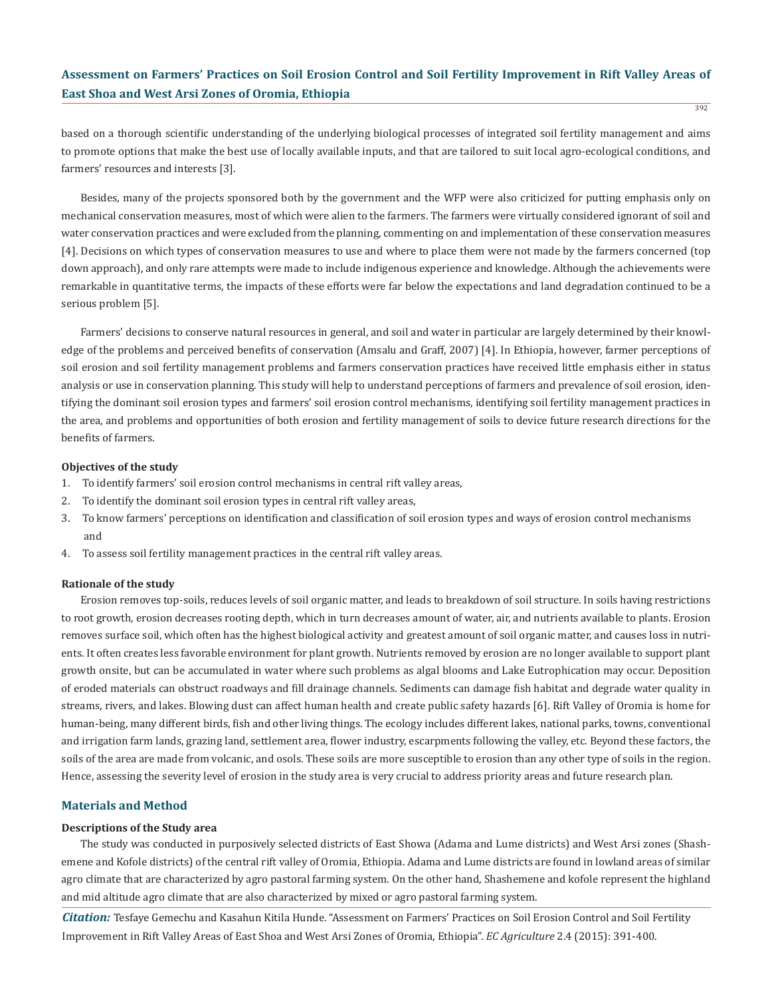based on a thorough scientific understanding of the underlying biological processes of integrated soil fertility management and aims to promote options that make the best use of locally available inputs, and that are tailored to suit local agro-ecological conditions, and farmers' resources and interests [3].

Besides, many of the projects sponsored both by the government and the WFP were also criticized for putting emphasis only on mechanical conservation measures, most of which were alien to the farmers. The farmers were virtually considered ignorant of soil and water conservation practices and were excluded from the planning, commenting on and implementation of these conservation measures [4]. Decisions on which types of conservation measures to use and where to place them were not made by the farmers concerned (top down approach), and only rare attempts were made to include indigenous experience and knowledge. Although the achievements were remarkable in quantitative terms, the impacts of these efforts were far below the expectations and land degradation continued to be a serious problem [5].

Farmers' decisions to conserve natural resources in general, and soil and water in particular are largely determined by their knowledge of the problems and perceived benefits of conservation (Amsalu and Graff, 2007) [4]. In Ethiopia, however, farmer perceptions of soil erosion and soil fertility management problems and farmers conservation practices have received little emphasis either in status analysis or use in conservation planning. This study will help to understand perceptions of farmers and prevalence of soil erosion, identifying the dominant soil erosion types and farmers' soil erosion control mechanisms, identifying soil fertility management practices in the area, and problems and opportunities of both erosion and fertility management of soils to device future research directions for the benefits of farmers.

#### **Objectives of the study**

- 1. To identify farmers' soil erosion control mechanisms in central rift valley areas,
- 2. To identify the dominant soil erosion types in central rift valley areas,
- 3. To know farmers' perceptions on identification and classification of soil erosion types and ways of erosion control mechanisms and
- 4. To assess soil fertility management practices in the central rift valley areas.

#### **Rationale of the study**

Erosion removes top-soils, reduces levels of soil organic matter, and leads to breakdown of soil structure. In soils having restrictions to root growth, erosion decreases rooting depth, which in turn decreases amount of water, air, and nutrients available to plants. Erosion removes surface soil, which often has the highest biological activity and greatest amount of soil organic matter, and causes loss in nutrients. It often creates less favorable environment for plant growth. Nutrients removed by erosion are no longer available to support plant growth onsite, but can be accumulated in water where such problems as algal blooms and Lake Eutrophication may occur. Deposition of eroded materials can obstruct roadways and fill drainage channels. Sediments can damage fish habitat and degrade water quality in streams, rivers, and lakes. Blowing dust can affect human health and create public safety hazards [6]. Rift Valley of Oromia is home for human-being, many different birds, fish and other living things. The ecology includes different lakes, national parks, towns, conventional and irrigation farm lands, grazing land, settlement area, flower industry, escarpments following the valley, etc. Beyond these factors, the soils of the area are made from volcanic, and osols. These soils are more susceptible to erosion than any other type of soils in the region. Hence, assessing the severity level of erosion in the study area is very crucial to address priority areas and future research plan.

### **Materials and Method**

#### **Descriptions of the Study area**

The study was conducted in purposively selected districts of East Showa (Adama and Lume districts) and West Arsi zones (Shashemene and Kofole districts) of the central rift valley of Oromia, Ethiopia. Adama and Lume districts are found in lowland areas of similar agro climate that are characterized by agro pastoral farming system. On the other hand, Shashemene and kofole represent the highland and mid altitude agro climate that are also characterized by mixed or agro pastoral farming system.

*Citation:* Tesfaye Gemechu and Kasahun Kitila Hunde. "Assessment on Farmers' Practices on Soil Erosion Control and Soil Fertility Improvement in Rift Valley Areas of East Shoa and West Arsi Zones of Oromia, Ethiopia". *EC Agriculture* 2.4 (2015): 391-400.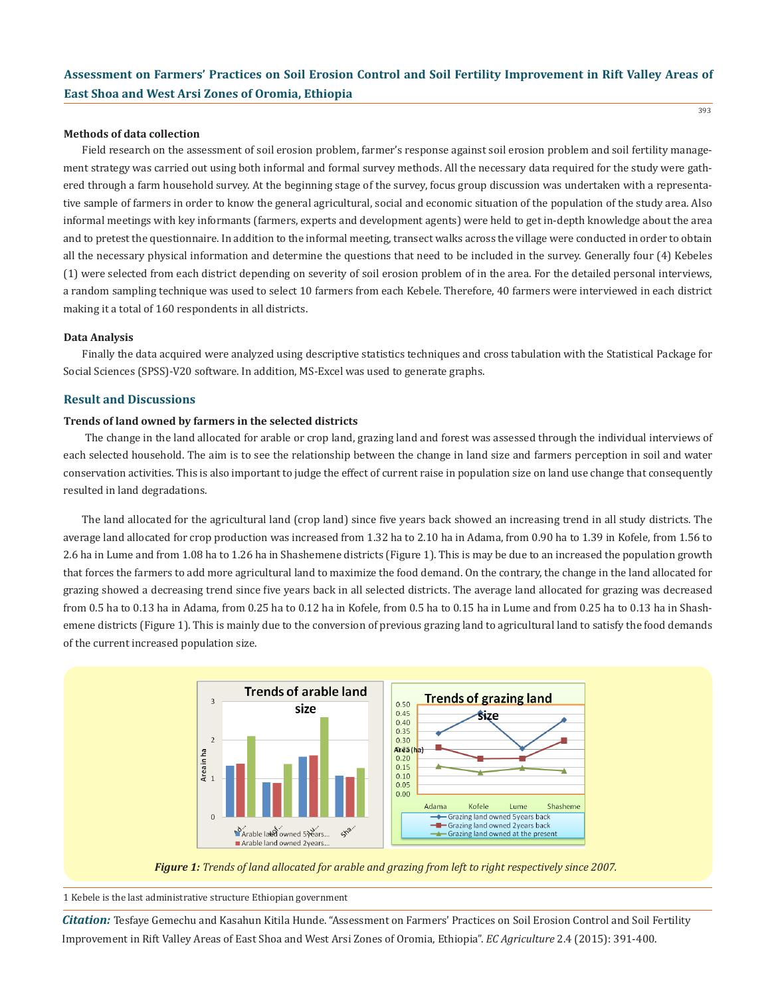#### **Methods of data collection**

Field research on the assessment of soil erosion problem, farmer's response against soil erosion problem and soil fertility management strategy was carried out using both informal and formal survey methods. All the necessary data required for the study were gathered through a farm household survey. At the beginning stage of the survey, focus group discussion was undertaken with a representative sample of farmers in order to know the general agricultural, social and economic situation of the population of the study area. Also informal meetings with key informants (farmers, experts and development agents) were held to get in-depth knowledge about the area and to pretest the questionnaire. In addition to the informal meeting, transect walks across the village were conducted in order to obtain all the necessary physical information and determine the questions that need to be included in the survey. Generally four (4) Kebeles (1) were selected from each district depending on severity of soil erosion problem of in the area. For the detailed personal interviews, a random sampling technique was used to select 10 farmers from each Kebele. Therefore, 40 farmers were interviewed in each district making it a total of 160 respondents in all districts.

#### **Data Analysis**

Finally the data acquired were analyzed using descriptive statistics techniques and cross tabulation with the Statistical Package for Social Sciences (SPSS)-V20 software. In addition, MS-Excel was used to generate graphs.

# **Result and Discussions**

### **Trends of land owned by farmers in the selected districts**

 The change in the land allocated for arable or crop land, grazing land and forest was assessed through the individual interviews of each selected household. The aim is to see the relationship between the change in land size and farmers perception in soil and water conservation activities. This is also important to judge the effect of current raise in population size on land use change that consequently resulted in land degradations.

The land allocated for the agricultural land (crop land) since five years back showed an increasing trend in all study districts. The average land allocated for crop production was increased from 1.32 ha to 2.10 ha in Adama, from 0.90 ha to 1.39 in Kofele, from 1.56 to 2.6 ha in Lume and from 1.08 ha to 1.26 ha in Shashemene districts (Figure 1). This is may be due to an increased the population growth that forces the farmers to add more agricultural land to maximize the food demand. On the contrary, the change in the land allocated for grazing showed a decreasing trend since five years back in all selected districts. The average land allocated for grazing was decreased from 0.5 ha to 0.13 ha in Adama, from 0.25 ha to 0.12 ha in Kofele, from 0.5 ha to 0.15 ha in Lume and from 0.25 ha to 0.13 ha in Shashemene districts (Figure 1). This is mainly due to the conversion of previous grazing land to agricultural land to satisfy the food demands of the current increased population size.





1 Kebele is the last administrative structure Ethiopian government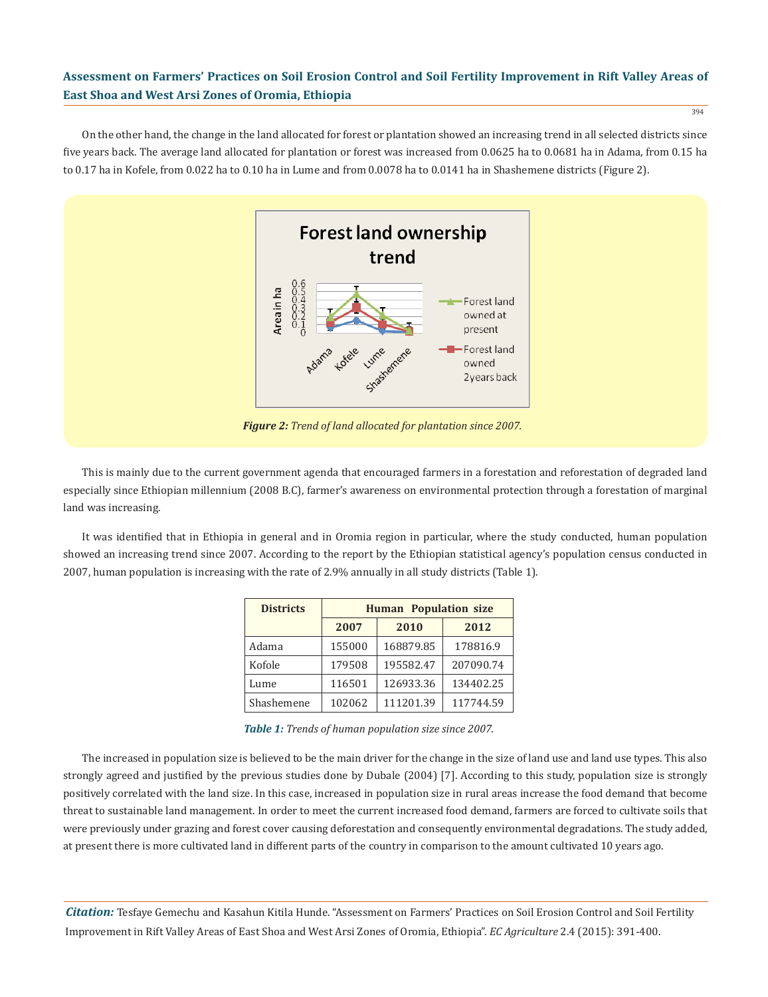394

On the other hand, the change in the land allocated for forest or plantation showed an increasing trend in all selected districts since five years back. The average land allocated for plantation or forest was increased from 0.0625 ha to 0.0681 ha in Adama, from 0.15 ha to 0.17 ha in Kofele, from 0.022 ha to 0.10 ha in Lume and from 0.0078 ha to 0.0141 ha in Shashemene districts (Figure 2).



This is mainly due to the current government agenda that encouraged farmers in a forestation and reforestation of degraded land especially since Ethiopian millennium (2008 B.C), farmer's awareness on environmental protection through a forestation of marginal land was increasing.

It was identified that in Ethiopia in general and in Oromia region in particular, where the study conducted, human population showed an increasing trend since 2007. According to the report by the Ethiopian statistical agency's population census conducted in 2007, human population is increasing with the rate of 2.9% annually in all study districts (Table 1).

| <b>Districts</b> | <b>Human Population size</b> |           |           |  |  |  |  |  |
|------------------|------------------------------|-----------|-----------|--|--|--|--|--|
|                  | 2007                         | 2010      | 2012      |  |  |  |  |  |
| Adama            | 155000                       | 168879.85 | 178816.9  |  |  |  |  |  |
| Kofole           | 179508                       | 195582.47 | 207090.74 |  |  |  |  |  |
| Lume             | 116501                       | 126933.36 | 134402.25 |  |  |  |  |  |
| Shashemene       | 102062                       | 111201.39 | 117744.59 |  |  |  |  |  |

*Table 1: Trends of human population size since 2007.*

The increased in population size is believed to be the main driver for the change in the size of land use and land use types. This also strongly agreed and justified by the previous studies done by Dubale (2004) [7]. According to this study, population size is strongly positively correlated with the land size. In this case, increased in population size in rural areas increase the food demand that become threat to sustainable land management. In order to meet the current increased food demand, farmers are forced to cultivate soils that were previously under grazing and forest cover causing deforestation and consequently environmental degradations. The study added, at present there is more cultivated land in different parts of the country in comparison to the amount cultivated 10 years ago.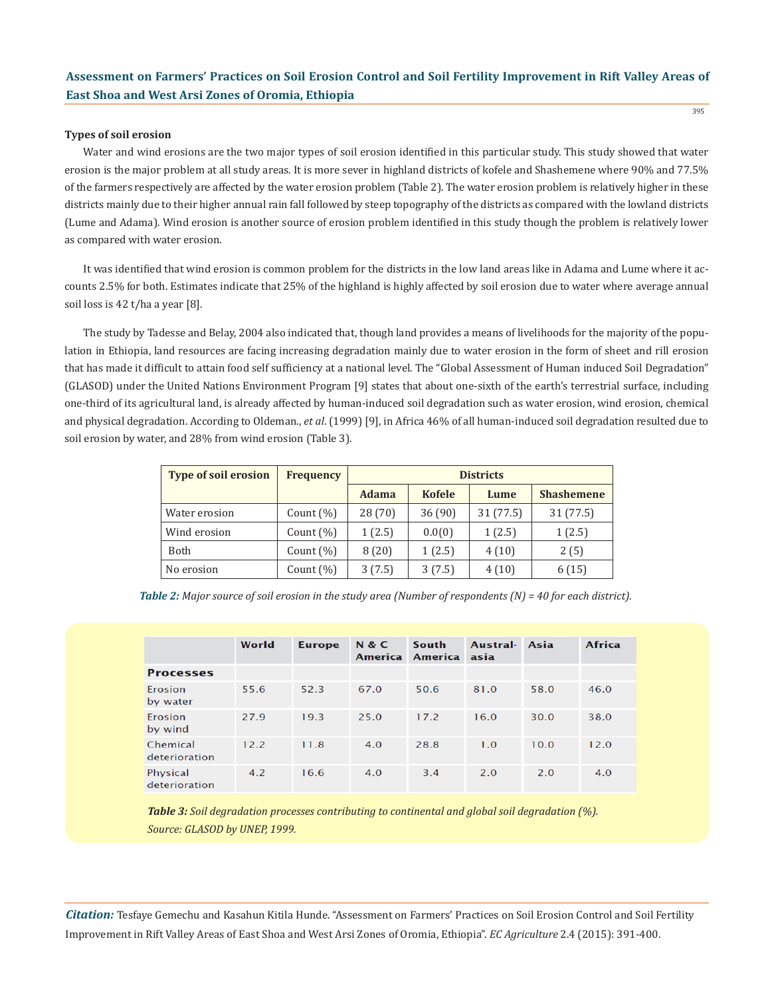#### **Types of soil erosion**

Water and wind erosions are the two major types of soil erosion identified in this particular study. This study showed that water erosion is the major problem at all study areas. It is more sever in highland districts of kofele and Shashemene where 90% and 77.5% of the farmers respectively are affected by the water erosion problem (Table 2). The water erosion problem is relatively higher in these districts mainly due to their higher annual rain fall followed by steep topography of the districts as compared with the lowland districts (Lume and Adama). Wind erosion is another source of erosion problem identified in this study though the problem is relatively lower as compared with water erosion.

It was identified that wind erosion is common problem for the districts in the low land areas like in Adama and Lume where it accounts 2.5% for both. Estimates indicate that 25% of the highland is highly affected by soil erosion due to water where average annual soil loss is 42 t/ha a year [8].

The study by Tadesse and Belay, 2004 also indicated that, though land provides a means of livelihoods for the majority of the population in Ethiopia, land resources are facing increasing degradation mainly due to water erosion in the form of sheet and rill erosion that has made it difficult to attain food self sufficiency at a national level. The "Global Assessment of Human induced Soil Degradation" (GLASOD) under the United Nations Environment Program [9] states that about one-sixth of the earth's terrestrial surface, including one-third of its agricultural land, is already affected by human-induced soil degradation such as water erosion, wind erosion, chemical and physical degradation. According to Oldeman., *et al*. (1999) [9], in Africa 46% of all human-induced soil degradation resulted due to soil erosion by water, and 28% from wind erosion (Table 3).

| <b>Type of soil erosion</b> | <b>Frequency</b> | <b>Districts</b> |               |          |                   |  |  |  |
|-----------------------------|------------------|------------------|---------------|----------|-------------------|--|--|--|
|                             |                  | <b>Adama</b>     | <b>Kofele</b> | Lume     | <b>Shashemene</b> |  |  |  |
| Water erosion               | Count $(\% )$    | 28 (70)          | 36(90)        | 31(77.5) | 31 (77.5)         |  |  |  |
| Wind erosion                | Count $(\%)$     | 1(2.5)           | 0.0(0)        | 1(2.5)   | 1(2.5)            |  |  |  |
| Both                        | Count $(\% )$    | 8(20)            | 1(2.5)        | 4(10)    | 2(5)              |  |  |  |
| No erosion                  | Count $(\% )$    | 3(7.5)           | 3(7.5)        | 4(10)    | 6(15)             |  |  |  |

*Table 2: Major source of soil erosion in the study area (Number of respondents (N) = 40 for each district).*

|                           | World | <b>Europe</b> | <b>N&amp;C</b><br>America | South<br>America asia | Austral- | Asia | <b>Africa</b> |
|---------------------------|-------|---------------|---------------------------|-----------------------|----------|------|---------------|
| <b>Processes</b>          |       |               |                           |                       |          |      |               |
| Erosion<br>by water       | 55.6  | 52.3          | 67.0                      | 50.6                  | 81.0     | 58.0 | 46.0          |
| Erosion<br>by wind        | 27.9  | 19.3          | 25.0                      | 17.2                  | 16.0     | 30.0 | 38.0          |
| Chemical<br>deterioration | 12.2  | 11.8          | 4.0                       | 28.8                  | 1.0      | 10.0 | 12.0          |
| Physical<br>deterioration | 4.2   | 16.6          | 4.0                       | 3.4                   | 2.0      | 2.0  | 4.0           |

*Table 3: Soil degradation processes contributing to continental and global soil degradation (%). Source: GLASOD by UNEP, 1999.*

*Citation:* Tesfaye Gemechu and Kasahun Kitila Hunde. "Assessment on Farmers' Practices on Soil Erosion Control and Soil Fertility Improvement in Rift Valley Areas of East Shoa and West Arsi Zones of Oromia, Ethiopia". *EC Agriculture* 2.4 (2015): 391-400.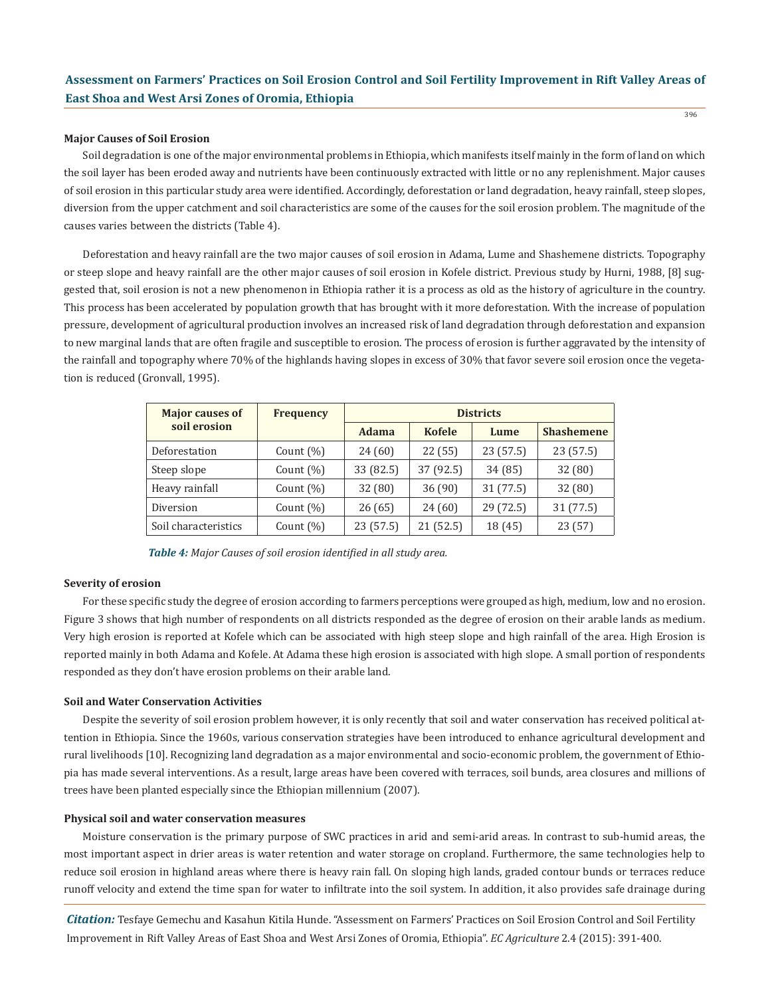#### **Major Causes of Soil Erosion**

Soil degradation is one of the major environmental problems in Ethiopia, which manifests itself mainly in the form of land on which the soil layer has been eroded away and nutrients have been continuously extracted with little or no any replenishment. Major causes of soil erosion in this particular study area were identified. Accordingly, deforestation or land degradation, heavy rainfall, steep slopes, diversion from the upper catchment and soil characteristics are some of the causes for the soil erosion problem. The magnitude of the causes varies between the districts (Table 4).

Deforestation and heavy rainfall are the two major causes of soil erosion in Adama, Lume and Shashemene districts. Topography or steep slope and heavy rainfall are the other major causes of soil erosion in Kofele district. Previous study by Hurni, 1988, [8] suggested that, soil erosion is not a new phenomenon in Ethiopia rather it is a process as old as the history of agriculture in the country. This process has been accelerated by population growth that has brought with it more deforestation. With the increase of population pressure, development of agricultural production involves an increased risk of land degradation through deforestation and expansion to new marginal lands that are often fragile and susceptible to erosion. The process of erosion is further aggravated by the intensity of the rainfall and topography where 70% of the highlands having slopes in excess of 30% that favor severe soil erosion once the vegetation is reduced (Gronvall, 1995).

| <b>Major causes of</b> | <b>Frequency</b> | <b>Districts</b> |               |           |                   |  |  |
|------------------------|------------------|------------------|---------------|-----------|-------------------|--|--|
| soil erosion           |                  | <b>Adama</b>     | <b>Kofele</b> | Lume      | <b>Shashemene</b> |  |  |
| Deforestation          | Count $(\%)$     | 24(60)           | 22(55)        | 23(57.5)  | 23(57.5)          |  |  |
| Steep slope            | Count $(\%)$     | 33 (82.5)        | 37 (92.5)     | 34(85)    | 32 (80)           |  |  |
| Heavy rainfall         | Count $(\%)$     | 32 (80)          | 36(90)        | 31 (77.5) | 32 (80)           |  |  |
| Diversion              | Count $(\% )$    | 26(65)           | 24(60)        | 29 (72.5) | 31 (77.5)         |  |  |
| Soil characteristics   | Count $(\% )$    | 23 (57.5)        | 21(52.5)      | 18(45)    | 23 (57)           |  |  |

*Table 4: Major Causes of soil erosion identified in all study area.*

#### **Severity of erosion**

For these specific study the degree of erosion according to farmers perceptions were grouped as high, medium, low and no erosion. Figure 3 shows that high number of respondents on all districts responded as the degree of erosion on their arable lands as medium. Very high erosion is reported at Kofele which can be associated with high steep slope and high rainfall of the area. High Erosion is reported mainly in both Adama and Kofele. At Adama these high erosion is associated with high slope. A small portion of respondents responded as they don't have erosion problems on their arable land.

#### **Soil and Water Conservation Activities**

Despite the severity of soil erosion problem however, it is only recently that soil and water conservation has received political attention in Ethiopia. Since the 1960s, various conservation strategies have been introduced to enhance agricultural development and rural livelihoods [10]. Recognizing land degradation as a major environmental and socio-economic problem, the government of Ethiopia has made several interventions. As a result, large areas have been covered with terraces, soil bunds, area closures and millions of trees have been planted especially since the Ethiopian millennium (2007).

#### **Physical soil and water conservation measures**

Moisture conservation is the primary purpose of SWC practices in arid and semi-arid areas. In contrast to sub-humid areas, the most important aspect in drier areas is water retention and water storage on cropland. Furthermore, the same technologies help to reduce soil erosion in highland areas where there is heavy rain fall. On sloping high lands, graded contour bunds or terraces reduce runoff velocity and extend the time span for water to infiltrate into the soil system. In addition, it also provides safe drainage during

*Citation:* Tesfaye Gemechu and Kasahun Kitila Hunde. "Assessment on Farmers' Practices on Soil Erosion Control and Soil Fertility Improvement in Rift Valley Areas of East Shoa and West Arsi Zones of Oromia, Ethiopia". *EC Agriculture* 2.4 (2015): 391-400.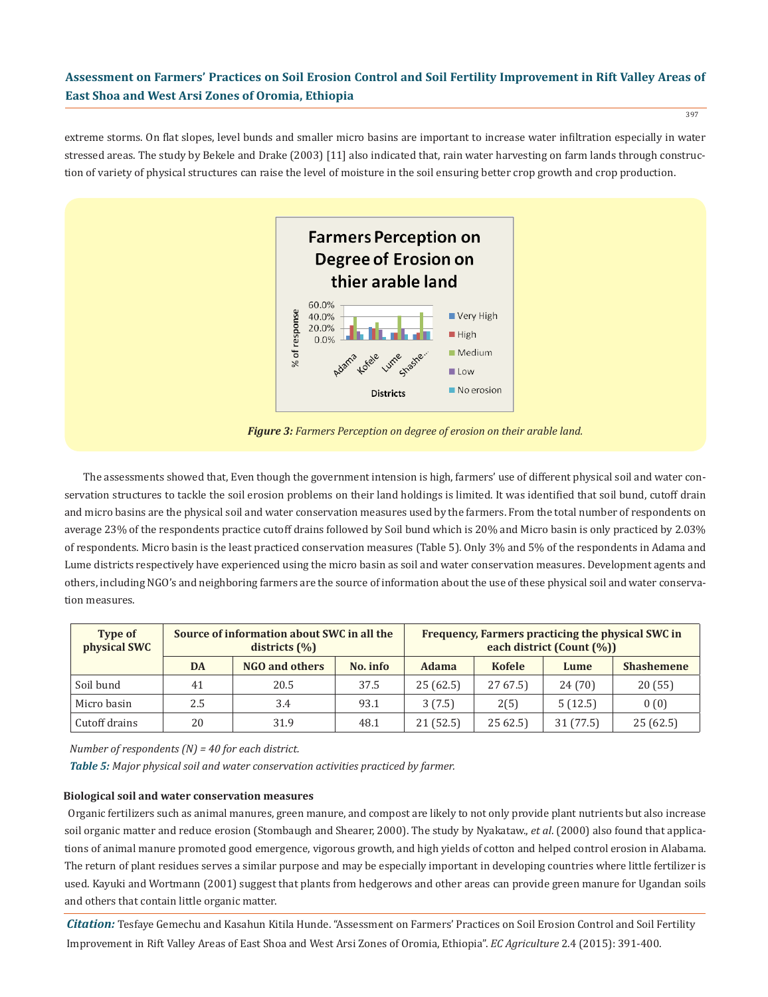397

extreme storms. On flat slopes, level bunds and smaller micro basins are important to increase water infiltration especially in water stressed areas. The study by Bekele and Drake (2003) [11] also indicated that, rain water harvesting on farm lands through construction of variety of physical structures can raise the level of moisture in the soil ensuring better crop growth and crop production.



*Figure 3: Farmers Perception on degree of erosion on their arable land.*

The assessments showed that, Even though the government intension is high, farmers' use of different physical soil and water conservation structures to tackle the soil erosion problems on their land holdings is limited. It was identified that soil bund, cutoff drain and micro basins are the physical soil and water conservation measures used by the farmers. From the total number of respondents on average 23% of the respondents practice cutoff drains followed by Soil bund which is 20% and Micro basin is only practiced by 2.03% of respondents. Micro basin is the least practiced conservation measures (Table 5). Only 3% and 5% of the respondents in Adama and Lume districts respectively have experienced using the micro basin as soil and water conservation measures. Development agents and others, including NGO's and neighboring farmers are the source of information about the use of these physical soil and water conservation measures.

| <b>Type of</b><br>physical SWC | Source of information about SWC in all the<br>districts $(\% )$ |                            |      | Frequency, Farmers practicing the physical SWC in<br>each district (Count (%)) |               |           |                   |
|--------------------------------|-----------------------------------------------------------------|----------------------------|------|--------------------------------------------------------------------------------|---------------|-----------|-------------------|
|                                | DA                                                              | NGO and others<br>No. info |      |                                                                                | <b>Kofele</b> | Lume      | <b>Shashemene</b> |
| Soil bund                      | 41                                                              | 20.5                       | 37.5 | 25(62.5)                                                                       | 2767.5        | 24(70)    | 20(55)            |
| Micro basin                    | 2.5                                                             | 3.4                        | 93.1 | 3(7.5)                                                                         | 2(5)          | 5(12.5)   | 0(0)              |
| Cutoff drains                  | 20                                                              | 31.9                       | 48.1 | 21(52.5)                                                                       | 2562.5        | 31 (77.5) | 25(62.5)          |

*Number of respondents (N) = 40 for each district.*

*Table 5: Major physical soil and water conservation activities practiced by farmer.*

#### **Biological soil and water conservation measures**

Organic fertilizers such as animal manures, green manure, and compost are likely to not only provide plant nutrients but also increase soil organic matter and reduce erosion (Stombaugh and Shearer, 2000). The study by Nyakataw., *et al*. (2000) also found that applications of animal manure promoted good emergence, vigorous growth, and high yields of cotton and helped control erosion in Alabama. The return of plant residues serves a similar purpose and may be especially important in developing countries where little fertilizer is used. Kayuki and Wortmann (2001) suggest that plants from hedgerows and other areas can provide green manure for Ugandan soils and others that contain little organic matter.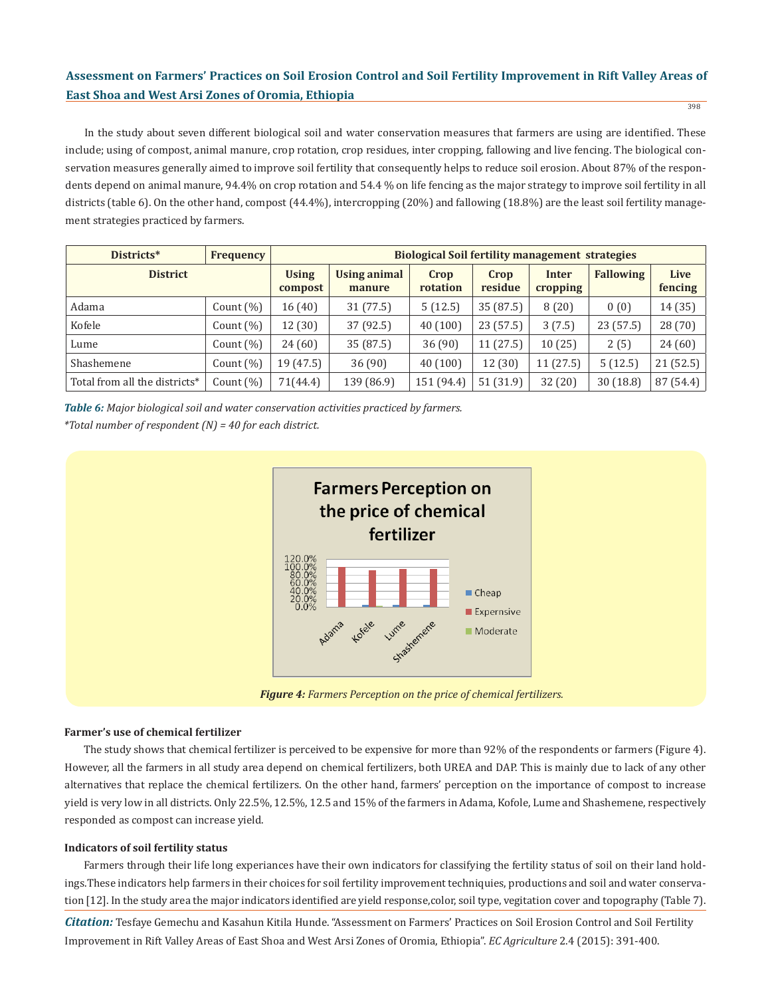In the study about seven different biological soil and water conservation measures that farmers are using are identified. These include; using of compost, animal manure, crop rotation, crop residues, inter cropping, fallowing and live fencing. The biological conservation measures generally aimed to improve soil fertility that consequently helps to reduce soil erosion. About 87% of the respondents depend on animal manure, 94.4% on crop rotation and 54.4 % on life fencing as the major strategy to improve soil fertility in all districts (table 6). On the other hand, compost (44.4%), intercropping (20%) and fallowing (18.8%) are the least soil fertility management strategies practiced by farmers.

| Districts*                    | <b>Frequency</b> | <b>Biological Soil fertility management strategies</b> |                               |                  |                 |                   |                  |                 |  |
|-------------------------------|------------------|--------------------------------------------------------|-------------------------------|------------------|-----------------|-------------------|------------------|-----------------|--|
| <b>District</b>               |                  | <b>Using</b><br>compost                                | <b>Using animal</b><br>manure | Crop<br>rotation | Crop<br>residue | Inter<br>cropping | <b>Fallowing</b> | Live<br>fencing |  |
| Adama                         | Count $(\%)$     | 16(40)                                                 | 31(77.5)                      | 5(12.5)          | 35 (87.5)       | 8(20)             | 0(0)             | 14 (35)         |  |
| Kofele                        | Count $(\%)$     | 12(30)                                                 | 37 (92.5)                     | 40(100)          | 23(57.5)        | 3(7.5)            | 23(57.5)         | 28 (70)         |  |
| Lume                          | Count $(\%)$     | 24(60)                                                 | 35 (87.5)                     | 36(90)           | 11(27.5)        | 10(25)            | 2(5)             | 24(60)          |  |
| Shashemene                    | Count $(\%)$     | 19(47.5)                                               | 36 (90)                       | 40(100)          | 12 (30)         | 11(27.5)          | 5(12.5)          | 21(52.5)        |  |
| Total from all the districts* | Count $(\%)$     | 71(44.4)                                               | 139 (86.9)                    | 151 (94.4)       | 51(31.9)        | 32(20)            | 30(18.8)         | 87 (54.4)       |  |

*Table 6: Major biological soil and water conservation activities practiced by farmers. \*Total number of respondent (N) = 40 for each district.*



### **Farmer's use of chemical fertilizer**

The study shows that chemical fertilizer is perceived to be expensive for more than 92% of the respondents or farmers (Figure 4). However, all the farmers in all study area depend on chemical fertilizers, both UREA and DAP. This is mainly due to lack of any other alternatives that replace the chemical fertilizers. On the other hand, farmers' perception on the importance of compost to increase yield is very low in all districts. Only 22.5%, 12.5%, 12.5 and 15% of the farmers in Adama, Kofole, Lume and Shashemene, respectively responded as compost can increase yield.

### **Indicators of soil fertility status**

Farmers through their life long experiances have their own indicators for classifying the fertility status of soil on their land holdings.These indicators help farmers in their choices for soil fertility improvement techniquies, productions and soil and water conservation [12]. In the study area the major indicators identified are yield response,color, soil type, vegitation cover and topography (Table 7).

*Citation:* Tesfaye Gemechu and Kasahun Kitila Hunde. "Assessment on Farmers' Practices on Soil Erosion Control and Soil Fertility Improvement in Rift Valley Areas of East Shoa and West Arsi Zones of Oromia, Ethiopia". *EC Agriculture* 2.4 (2015): 391-400.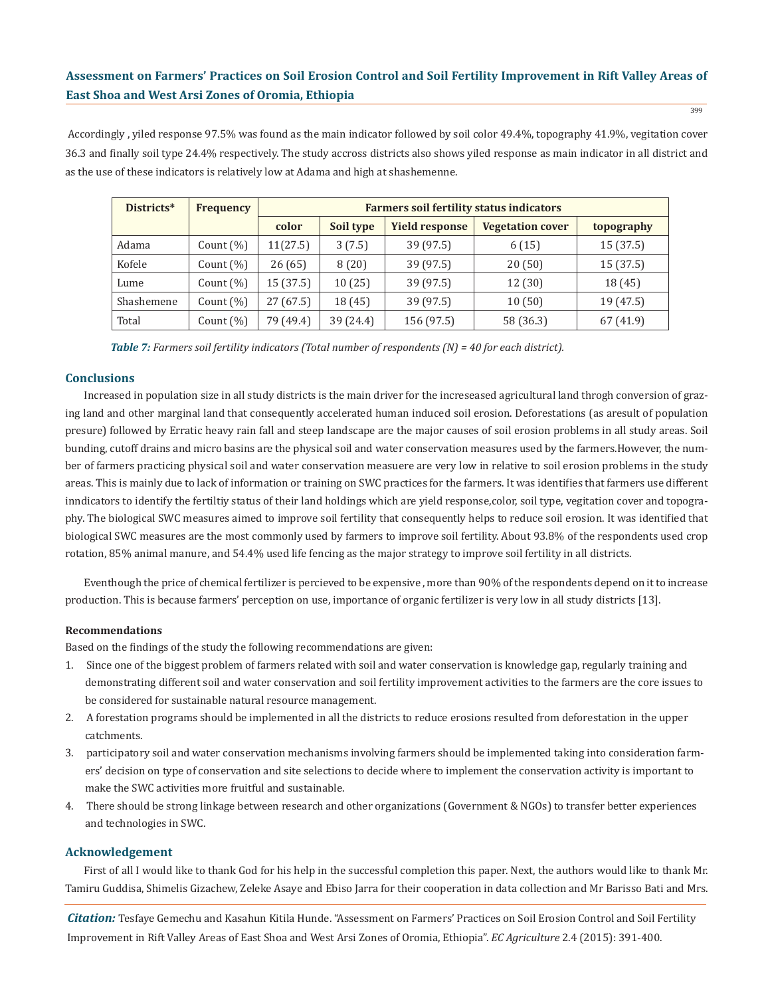Accordingly , yiled response 97.5% was found as the main indicator followed by soil color 49.4%, topography 41.9%, vegitation cover 36.3 and finally soil type 24.4% respectively. The study accross districts also shows yiled response as main indicator in all district and as the use of these indicators is relatively low at Adama and high at shashemenne.

| Districts* | <b>Frequency</b> | <b>Farmers soil fertility status indicators</b> |           |                       |                         |            |  |  |  |
|------------|------------------|-------------------------------------------------|-----------|-----------------------|-------------------------|------------|--|--|--|
|            |                  | color                                           | Soil type | <b>Yield response</b> | <b>Vegetation cover</b> | topography |  |  |  |
| Adama      | Count $(\% )$    | 11(27.5)                                        | 3(7.5)    | 39 (97.5)             | 6(15)                   | 15 (37.5)  |  |  |  |
| Kofele     | Count $(\% )$    | 26(65)                                          | 8(20)     | 39 (97.5)             | 20(50)                  | 15 (37.5)  |  |  |  |
| Lume       | Count $(\% )$    | 15 (37.5)                                       | 10(25)    | 39 (97.5)             | 12 (30)                 | 18 (45)    |  |  |  |
| Shashemene | Count $(\% )$    | 27(67.5)                                        | 18 (45)   | 39 (97.5)             | 10(50)                  | 19 (47.5)  |  |  |  |
| Total      | Count $(\%)$     | 79 (49.4)                                       | 39 (24.4) | 156 (97.5)            | 58 (36.3)               | 67 (41.9)  |  |  |  |

*Table 7: Farmers soil fertility indicators (Total number of respondents (N) = 40 for each district).*

## **Conclusions**

Increased in population size in all study districts is the main driver for the increseased agricultural land throgh conversion of grazing land and other marginal land that consequently accelerated human induced soil erosion. Deforestations (as aresult of population presure) followed by Erratic heavy rain fall and steep landscape are the major causes of soil erosion problems in all study areas. Soil bunding, cutoff drains and micro basins are the physical soil and water conservation measures used by the farmers.However, the number of farmers practicing physical soil and water conservation measuere are very low in relative to soil erosion problems in the study areas. This is mainly due to lack of information or training on SWC practices for the farmers. It was identifies that farmers use different inndicators to identify the fertiltiy status of their land holdings which are yield response,color, soil type, vegitation cover and topography. The biological SWC measures aimed to improve soil fertility that consequently helps to reduce soil erosion. It was identified that biological SWC measures are the most commonly used by farmers to improve soil fertility. About 93.8% of the respondents used crop rotation, 85% animal manure, and 54.4% used life fencing as the major strategy to improve soil fertility in all districts.

Eventhough the price of chemical fertilizer is percieved to be expensive , more than 90% of the respondents depend on it to increase production. This is because farmers' perception on use, importance of organic fertilizer is very low in all study districts [13].

#### **Recommendations**

Based on the findings of the study the following recommendations are given:

- 1. Since one of the biggest problem of farmers related with soil and water conservation is knowledge gap, regularly training and demonstrating different soil and water conservation and soil fertility improvement activities to the farmers are the core issues to be considered for sustainable natural resource management.
- 2. A forestation programs should be implemented in all the districts to reduce erosions resulted from deforestation in the upper catchments.
- 3. participatory soil and water conservation mechanisms involving farmers should be implemented taking into consideration farm ers' decision on type of conservation and site selections to decide where to implement the conservation activity is important to make the SWC activities more fruitful and sustainable.
- 4. There should be strong linkage between research and other organizations (Government & NGOs) to transfer better experiences and technologies in SWC.

#### **Acknowledgement**

First of all I would like to thank God for his help in the successful completion this paper. Next, the authors would like to thank Mr. Tamiru Guddisa, Shimelis Gizachew, Zeleke Asaye and Ebiso Jarra for their cooperation in data collection and Mr Barisso Bati and Mrs.

*Citation:* Tesfaye Gemechu and Kasahun Kitila Hunde. "Assessment on Farmers' Practices on Soil Erosion Control and Soil Fertility Improvement in Rift Valley Areas of East Shoa and West Arsi Zones of Oromia, Ethiopia". *EC Agriculture* 2.4 (2015): 391-400.